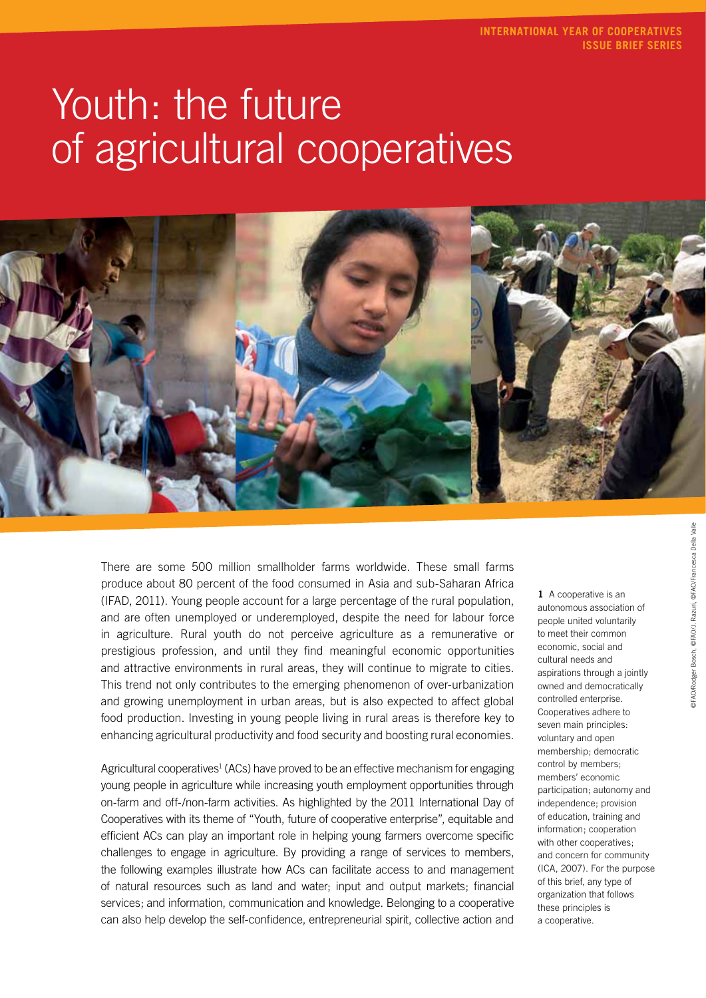# Youth: the future of agricultural cooperatives



There are some 500 million smallholder farms worldwide. These small farms produce about 80 percent of the food consumed in Asia and sub-Saharan Africa (IFAD, 2011). Young people account for a large percentage of the rural population, and are often unemployed or underemployed, despite the need for labour force in agriculture. Rural youth do not perceive agriculture as a remunerative or prestigious profession, and until they find meaningful economic opportunities and attractive environments in rural areas, they will continue to migrate to cities. This trend not only contributes to the emerging phenomenon of over-urbanization and growing unemployment in urban areas, but is also expected to affect global food production. Investing in young people living in rural areas is therefore key to enhancing agricultural productivity and food security and boosting rural economies.

Agricultural cooperatives<sup>1</sup> (ACs) have proved to be an effective mechanism for engaging young people in agriculture while increasing youth employment opportunities through on-farm and off-/non-farm activities. As highlighted by the 2011 International Day of Cooperatives with its theme of "Youth, future of cooperative enterprise", equitable and efficient ACs can play an important role in helping young farmers overcome specific challenges to engage in agriculture. By providing a range of services to members, the following examples illustrate how ACs can facilitate access to and management of natural resources such as land and water; input and output markets; financial services; and information, communication and knowledge. Belonging to a cooperative can also help develop the self-confidence, entrepreneurial spirit, collective action and

**1** A cooperative is an autonomous association of people united voluntarily to meet their common economic, social and cultural needs and aspirations through a jointly owned and democratically controlled enterprise. Cooperatives adhere to seven main principles: voluntary and open membership; democratic control by members; members' economic participation; autonomy and independence; provision of education, training and information; cooperation with other cooperatives: and concern for community (ICA, 2007). For the purpose of this brief, any type of organization that follows these principles is a cooperative.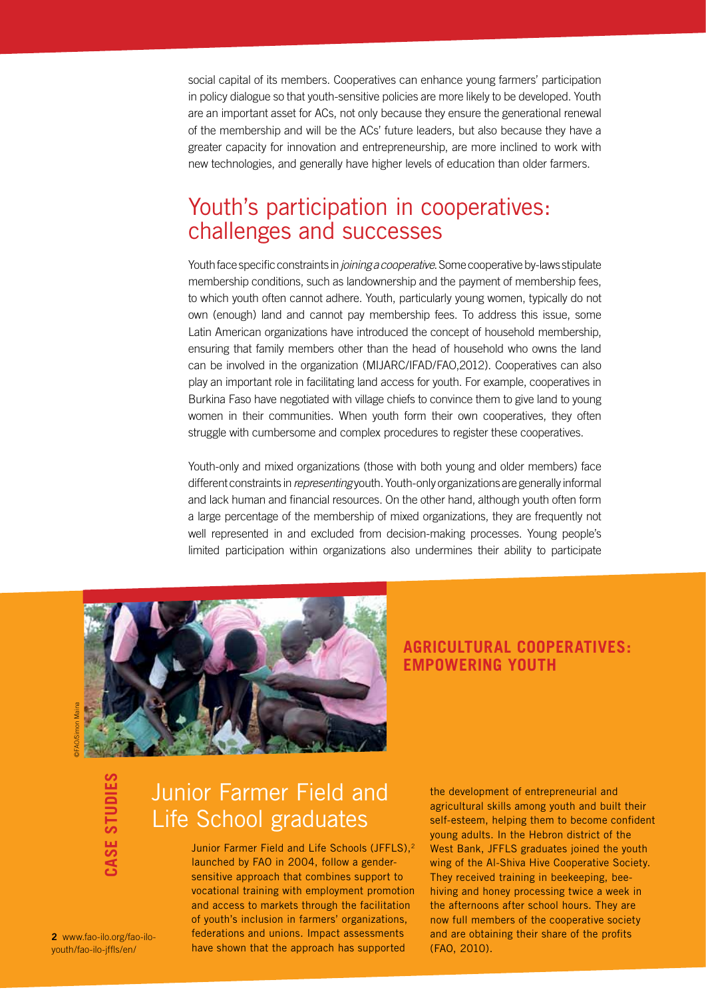social capital of its members. Cooperatives can enhance young farmers' participation in policy dialogue so that youth-sensitive policies are more likely to be developed. Youth are an important asset for ACs, not only because they ensure the generational renewal of the membership and will be the ACs' future leaders, but also because they have a greater capacity for innovation and entrepreneurship, are more inclined to work with new technologies, and generally have higher levels of education than older farmers.

### Youth's participation in cooperatives: challenges and successes

Youth face specific constraints in *joining a cooperative*. Some cooperative by-laws stipulate membership conditions, such as landownership and the payment of membership fees, to which youth often cannot adhere. Youth, particularly young women, typically do not own (enough) land and cannot pay membership fees. To address this issue, some Latin American organizations have introduced the concept of household membership, ensuring that family members other than the head of household who owns the land can be involved in the organization (MIJARC/IFAD/FAO,2012). Cooperatives can also play an important role in facilitating land access for youth. For example, cooperatives in Burkina Faso have negotiated with village chiefs to convince them to give land to young women in their communities. When youth form their own cooperatives, they often struggle with cumbersome and complex procedures to register these cooperatives.

Youth-only and mixed organizations (those with both young and older members) face different constraints in *representing* youth. Youth-only organizations are generally informal and lack human and financial resources. On the other hand, although youth often form a large percentage of the membership of mixed organizations, they are frequently not well represented in and excluded from decision-making processes. Young people's limited participation within organizations also undermines their ability to participate



### **Agricultural cooperatives: empowering youth**

**case studies**

# Junior Farmer Field and Life School graduates

Junior Farmer Field and Life Schools (JFFLS),<sup>2</sup> launched by FAO in 2004, follow a gendersensitive approach that combines support to vocational training with employment promotion and access to markets through the facilitation of youth's inclusion in farmers' organizations, federations and unions. Impact assessments have shown that the approach has supported

the development of entrepreneurial and agricultural skills among youth and built their self-esteem, helping them to become confident young adults. In the Hebron district of the West Bank, JFFLS graduates joined the youth wing of the Al-Shiva Hive Cooperative Society. They received training in beekeeping, beehiving and honey processing twice a week in the afternoons after school hours. They are now full members of the cooperative society and are obtaining their share of the profits (FAO, 2010).

**2** www.fao-ilo.org/fao-ilo-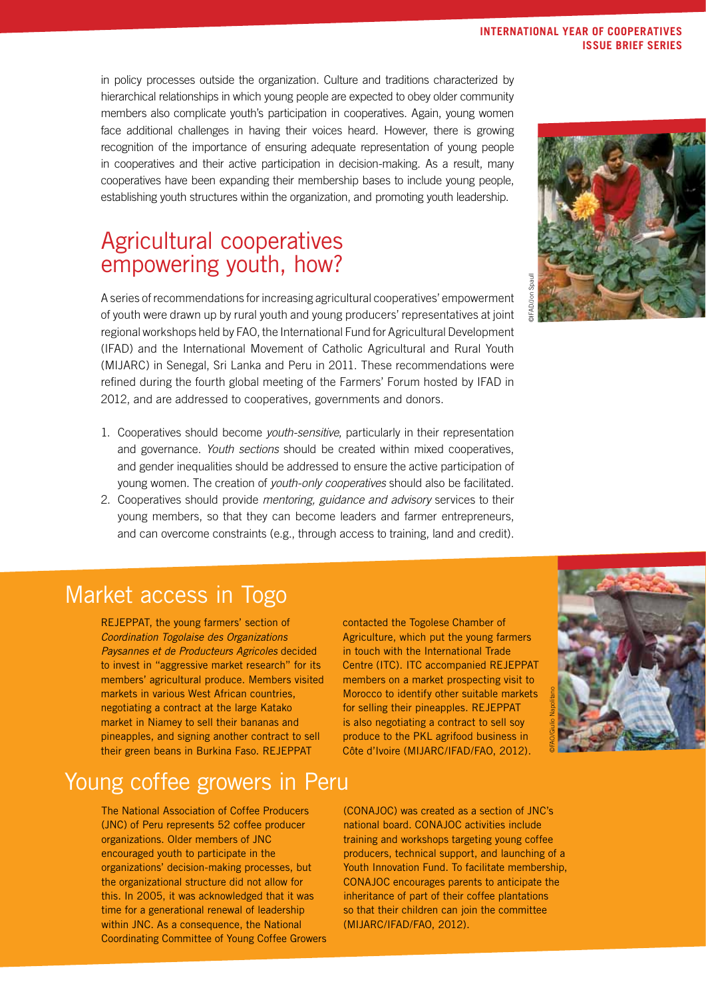#### in policy processes outside the organization. Culture and traditions characterized by hierarchical relationships in which young people are expected to obey older community members also complicate youth's participation in cooperatives. Again, young women face additional challenges in having their voices heard. However, there is growing recognition of the importance of ensuring adequate representation of young people in cooperatives and their active participation in decision-making. As a result, many cooperatives have been expanding their membership bases to include young people, establishing youth structures within the organization, and promoting youth leadership.

## Agricultural cooperatives empowering youth, how?

A series of recommendations for increasing agricultural cooperatives' empowerment of youth were drawn up by rural youth and young producers' representatives at joint regional workshops held by FAO, the International Fund for Agricultural Development (IFAD) and the International Movement of Catholic Agricultural and Rural Youth (MIJARC) in Senegal, Sri Lanka and Peru in 2011. These recommendations were refined during the fourth global meeting of the Farmers' Forum hosted by IFAD in 2012, and are addressed to cooperatives, governments and donors.

- 1. Cooperatives should become *youth-sensitive*, particularly in their representation and governance. *Youth sections* should be created within mixed cooperatives, and gender inequalities should be addressed to ensure the active participation of young women. The creation of *youth-only cooperatives* should also be facilitated.
- 2. Cooperatives should provide *mentoring, guidance and advisory* services to their young members, so that they can become leaders and farmer entrepreneurs, and can overcome constraints (e.g., through access to training, land and credit).

### Market access in Togo

REJEPPAT, the young farmers' section of *Coordination Togolaise des Organizations Paysannes et de Producteurs Agricoles* decided to invest in "aggressive market research" for its members' agricultural produce. Members visited markets in various West African countries, negotiating a contract at the large Katako market in Niamey to sell their bananas and pineapples, and signing another contract to sell their green beans in Burkina Faso. REJEPPAT

# Young coffee growers in Peru

The National Association of Coffee Producers (JNC) of Peru represents 52 coffee producer organizations. Older members of JNC encouraged youth to participate in the organizations' decision-making processes, but the organizational structure did not allow for this. In 2005, it was acknowledged that it was time for a generational renewal of leadership within JNC. As a consequence, the National Coordinating Committee of Young Coffee Growers contacted the Togolese Chamber of Agriculture, which put the young farmers in touch with the International Trade Centre (ITC). ITC accompanied REJEPPAT members on a market prospecting visit to Morocco to identify other suitable markets for selling their pineapples. REJEPPAT is also negotiating a contract to sell soy produce to the PKL agrifood business in Côte d'Ivoire (MIJARC/IFAD/FAO, 2012).

©FAO/Giulio Napolitano

(CONAJOC) was created as a section of JNC's national board. CONAJOC activities include training and workshops targeting young coffee producers, technical support, and launching of a Youth Innovation Fund. To facilitate membership, CONAJOC encourages parents to anticipate the inheritance of part of their coffee plantations so that their children can join the committee (MIJARC/IFAD/FAO, 2012).



#### **International Year of Cooperatives issue brief series**